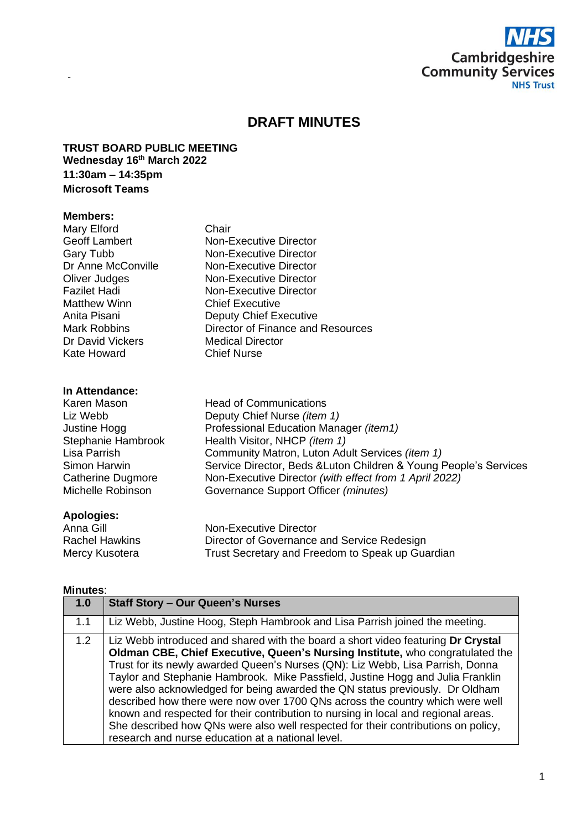

# **DRAFT MINUTES**

### **TRUST BOARD PUBLIC MEETING Wednesday 16 th March 2022 11:30am – 14:35pm Microsoft Teams**

#### **Members:**

-

| Mary Elford          | Chair                                           |  |
|----------------------|-------------------------------------------------|--|
| <b>Geoff Lambert</b> | Non-Executive Director                          |  |
| Gary Tubb            | Non-Executive Director                          |  |
| Dr Anne McConville   | Non-Executive Director                          |  |
| Oliver Judges        | Non-Executive Director                          |  |
| Fazilet Hadi         | <b>Non-Executive Director</b>                   |  |
| Matthew Winn         | <b>Chief Executive</b>                          |  |
| Anita Pisani         | <b>Deputy Chief Executive</b>                   |  |
| <b>Mark Robbins</b>  | Director of Finance and Resources               |  |
| Dr David Vickers     | <b>Medical Director</b>                         |  |
| Kate Howard          | <b>Chief Nurse</b>                              |  |
| In Attendance:       |                                                 |  |
| Karen Mason          | <b>Head of Communications</b>                   |  |
| Liz Webb             | Deputy Chief Nurse <i>(item 1)</i>              |  |
| Justine Hogg         | Professional Education Manager ( <i>item1</i> ) |  |
|                      |                                                 |  |

| Liz webb           | Deputy Chief Nurse <i>(item 1)</i>                                |
|--------------------|-------------------------------------------------------------------|
| Justine Hogg       | Professional Education Manager <i>(item1)</i>                     |
| Stephanie Hambrook | Health Visitor, NHCP (item 1)                                     |
| Lisa Parrish       | Community Matron, Luton Adult Services (item 1)                   |
| Simon Harwin       | Service Director, Beds & Luton Children & Young People's Services |
| Catherine Dugmore  | Non-Executive Director (with effect from 1 April 2022)            |
| Michelle Robinson  | Governance Support Officer (minutes)                              |
|                    |                                                                   |

# **Apologies:**

| .              |                                                  |
|----------------|--------------------------------------------------|
| Anna Gill l    | Non-Executive Director                           |
| Rachel Hawkins | Director of Governance and Service Redesign      |
| Mercy Kusotera | Trust Secretary and Freedom to Speak up Guardian |
|                |                                                  |

## **Minutes**:

| 1.0 | <b>Staff Story - Our Queen's Nurses</b>                                                                                                                                                                                                                                                                                                                                                                                                                                                                                                                                                                                                                                                                                                |
|-----|----------------------------------------------------------------------------------------------------------------------------------------------------------------------------------------------------------------------------------------------------------------------------------------------------------------------------------------------------------------------------------------------------------------------------------------------------------------------------------------------------------------------------------------------------------------------------------------------------------------------------------------------------------------------------------------------------------------------------------------|
| 1.1 | Liz Webb, Justine Hoog, Steph Hambrook and Lisa Parrish joined the meeting.                                                                                                                                                                                                                                                                                                                                                                                                                                                                                                                                                                                                                                                            |
| 1.2 | Liz Webb introduced and shared with the board a short video featuring Dr Crystal<br>Oldman CBE, Chief Executive, Queen's Nursing Institute, who congratulated the<br>Trust for its newly awarded Queen's Nurses (QN): Liz Webb, Lisa Parrish, Donna<br>Taylor and Stephanie Hambrook. Mike Passfield, Justine Hogg and Julia Franklin<br>were also acknowledged for being awarded the QN status previously. Dr Oldham<br>described how there were now over 1700 QNs across the country which were well<br>known and respected for their contribution to nursing in local and regional areas.<br>She described how QNs were also well respected for their contributions on policy,<br>research and nurse education at a national level. |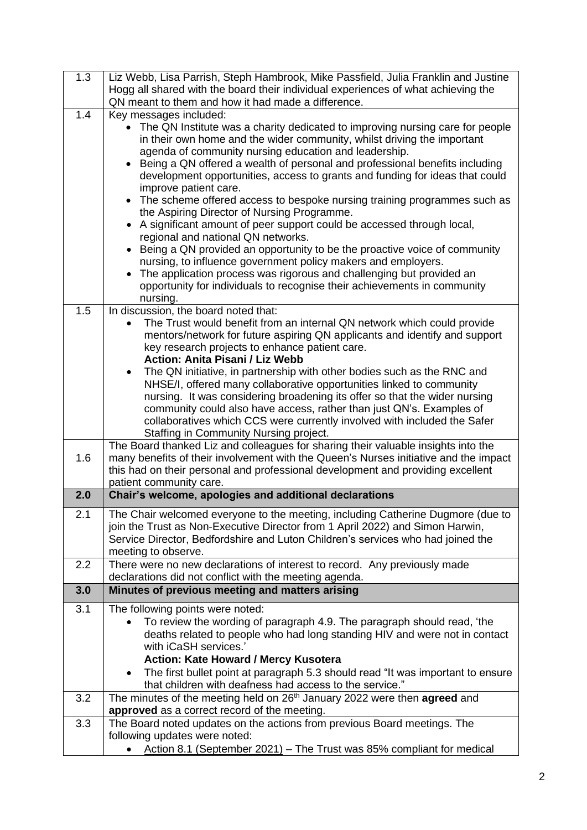| 1.3 |                                                                                                        |
|-----|--------------------------------------------------------------------------------------------------------|
|     | Liz Webb, Lisa Parrish, Steph Hambrook, Mike Passfield, Julia Franklin and Justine                     |
|     | Hogg all shared with the board their individual experiences of what achieving the                      |
|     | QN meant to them and how it had made a difference.                                                     |
| 1.4 |                                                                                                        |
|     | Key messages included:                                                                                 |
|     | • The QN Institute was a charity dedicated to improving nursing care for people                        |
|     | in their own home and the wider community, whilst driving the important                                |
|     | agenda of community nursing education and leadership.                                                  |
|     | Being a QN offered a wealth of personal and professional benefits including                            |
|     |                                                                                                        |
|     | development opportunities, access to grants and funding for ideas that could                           |
|     | improve patient care.                                                                                  |
|     | • The scheme offered access to bespoke nursing training programmes such as                             |
|     | the Aspiring Director of Nursing Programme.                                                            |
|     | • A significant amount of peer support could be accessed through local,                                |
|     |                                                                                                        |
|     | regional and national QN networks.                                                                     |
|     | Being a QN provided an opportunity to be the proactive voice of community                              |
|     | nursing, to influence government policy makers and employers.                                          |
|     | • The application process was rigorous and challenging but provided an                                 |
|     | opportunity for individuals to recognise their achievements in community                               |
|     | nursing.                                                                                               |
|     |                                                                                                        |
| 1.5 | In discussion, the board noted that:                                                                   |
|     | The Trust would benefit from an internal QN network which could provide                                |
|     | mentors/network for future aspiring QN applicants and identify and support                             |
|     | key research projects to enhance patient care.                                                         |
|     | <b>Action: Anita Pisani / Liz Webb</b>                                                                 |
|     |                                                                                                        |
|     | The QN initiative, in partnership with other bodies such as the RNC and                                |
|     | NHSE/I, offered many collaborative opportunities linked to community                                   |
|     | nursing. It was considering broadening its offer so that the wider nursing                             |
|     | community could also have access, rather than just QN's. Examples of                                   |
|     | collaboratives which CCS were currently involved with included the Safer                               |
|     | Staffing in Community Nursing project.                                                                 |
|     |                                                                                                        |
|     |                                                                                                        |
|     | The Board thanked Liz and colleagues for sharing their valuable insights into the                      |
| 1.6 | many benefits of their involvement with the Queen's Nurses initiative and the impact                   |
|     |                                                                                                        |
|     | this had on their personal and professional development and providing excellent                        |
|     | patient community care.                                                                                |
| 2.0 | Chair's welcome, apologies and additional declarations                                                 |
| 2.1 | The Chair welcomed everyone to the meeting, including Catherine Dugmore (due to                        |
|     |                                                                                                        |
|     | join the Trust as Non-Executive Director from 1 April 2022) and Simon Harwin,                          |
|     | Service Director, Bedfordshire and Luton Children's services who had joined the                        |
|     | meeting to observe.                                                                                    |
| 2.2 | There were no new declarations of interest to record. Any previously made                              |
|     | declarations did not conflict with the meeting agenda.                                                 |
| 3.0 |                                                                                                        |
|     | Minutes of previous meeting and matters arising                                                        |
| 3.1 | The following points were noted:                                                                       |
|     | To review the wording of paragraph 4.9. The paragraph should read, 'the                                |
|     | deaths related to people who had long standing HIV and were not in contact                             |
|     |                                                                                                        |
|     | with iCaSH services.'                                                                                  |
|     | <b>Action: Kate Howard / Mercy Kusotera</b>                                                            |
|     | The first bullet point at paragraph 5.3 should read "It was important to ensure                        |
|     | that children with deafness had access to the service."                                                |
| 3.2 | The minutes of the meeting held on 26 <sup>th</sup> January 2022 were then agreed and                  |
|     |                                                                                                        |
|     | approved as a correct record of the meeting.                                                           |
| 3.3 | The Board noted updates on the actions from previous Board meetings. The                               |
|     | following updates were noted:<br>Action 8.1 (September 2021) - The Trust was 85% compliant for medical |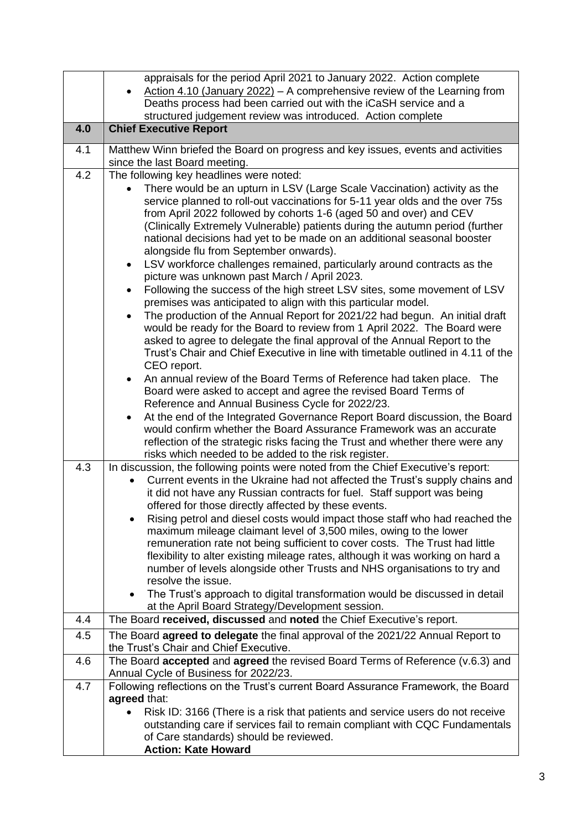|     | appraisals for the period April 2021 to January 2022. Action complete                                                                                         |
|-----|---------------------------------------------------------------------------------------------------------------------------------------------------------------|
|     | Action 4.10 (January 2022) - A comprehensive review of the Learning from                                                                                      |
|     | Deaths process had been carried out with the iCaSH service and a                                                                                              |
| 4.0 | structured judgement review was introduced. Action complete<br><b>Chief Executive Report</b>                                                                  |
|     |                                                                                                                                                               |
| 4.1 | Matthew Winn briefed the Board on progress and key issues, events and activities<br>since the last Board meeting.                                             |
| 4.2 | The following key headlines were noted:                                                                                                                       |
|     | There would be an upturn in LSV (Large Scale Vaccination) activity as the                                                                                     |
|     | service planned to roll-out vaccinations for 5-11 year olds and the over 75s                                                                                  |
|     | from April 2022 followed by cohorts 1-6 (aged 50 and over) and CEV<br>(Clinically Extremely Vulnerable) patients during the autumn period (further            |
|     | national decisions had yet to be made on an additional seasonal booster                                                                                       |
|     | alongside flu from September onwards).                                                                                                                        |
|     | LSV workforce challenges remained, particularly around contracts as the<br>$\bullet$                                                                          |
|     | picture was unknown past March / April 2023.                                                                                                                  |
|     | Following the success of the high street LSV sites, some movement of LSV<br>premises was anticipated to align with this particular model.                     |
|     | The production of the Annual Report for 2021/22 had begun. An initial draft                                                                                   |
|     | would be ready for the Board to review from 1 April 2022. The Board were                                                                                      |
|     | asked to agree to delegate the final approval of the Annual Report to the<br>Trust's Chair and Chief Executive in line with timetable outlined in 4.11 of the |
|     | CEO report.                                                                                                                                                   |
|     | An annual review of the Board Terms of Reference had taken place.<br>The                                                                                      |
|     | Board were asked to accept and agree the revised Board Terms of                                                                                               |
|     | Reference and Annual Business Cycle for 2022/23.                                                                                                              |
|     | At the end of the Integrated Governance Report Board discussion, the Board<br>$\bullet$                                                                       |
|     | would confirm whether the Board Assurance Framework was an accurate<br>reflection of the strategic risks facing the Trust and whether there were any          |
|     | risks which needed to be added to the risk register.                                                                                                          |
| 4.3 | In discussion, the following points were noted from the Chief Executive's report:                                                                             |
|     | Current events in the Ukraine had not affected the Trust's supply chains and                                                                                  |
|     | it did not have any Russian contracts for fuel. Staff support was being                                                                                       |
|     | offered for those directly affected by these events.                                                                                                          |
|     | Rising petrol and diesel costs would impact those staff who had reached the<br>maximum mileage claimant level of 3,500 miles, owing to the lower              |
|     | remuneration rate not being sufficient to cover costs. The Trust had little                                                                                   |
|     | flexibility to alter existing mileage rates, although it was working on hard a<br>number of levels alongside other Trusts and NHS organisations to try and    |
|     | resolve the issue.                                                                                                                                            |
|     | The Trust's approach to digital transformation would be discussed in detail<br>$\bullet$                                                                      |
|     | at the April Board Strategy/Development session.                                                                                                              |
| 4.4 | The Board received, discussed and noted the Chief Executive's report.                                                                                         |
| 4.5 | The Board agreed to delegate the final approval of the 2021/22 Annual Report to<br>the Trust's Chair and Chief Executive.                                     |
| 4.6 | The Board accepted and agreed the revised Board Terms of Reference (v.6.3) and                                                                                |
| 4.7 | Annual Cycle of Business for 2022/23.<br>Following reflections on the Trust's current Board Assurance Framework, the Board                                    |
|     | agreed that:                                                                                                                                                  |
|     | Risk ID: 3166 (There is a risk that patients and service users do not receive                                                                                 |
|     | outstanding care if services fail to remain compliant with CQC Fundamentals                                                                                   |
|     | of Care standards) should be reviewed.<br><b>Action: Kate Howard</b>                                                                                          |
|     |                                                                                                                                                               |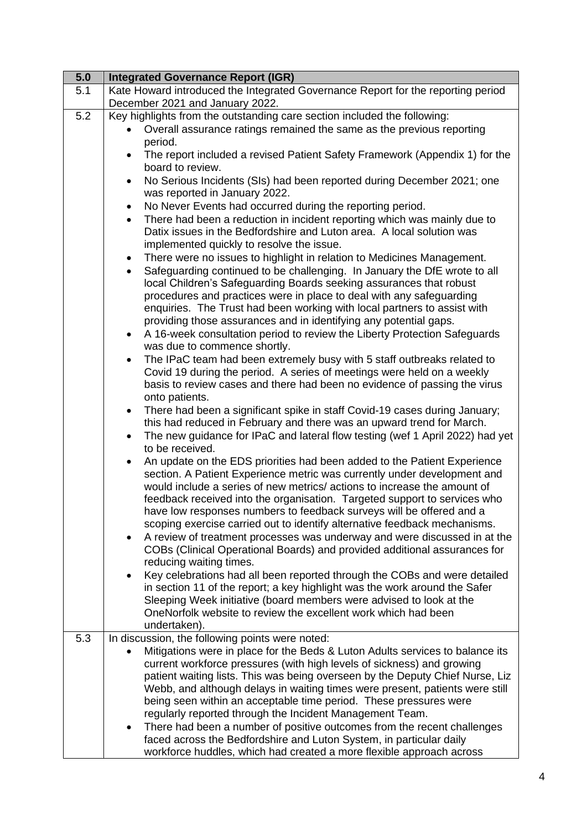| $\overline{5.0}$ | <b>Integrated Governance Report (IGR)</b>                                                                                     |
|------------------|-------------------------------------------------------------------------------------------------------------------------------|
| 5.1              | Kate Howard introduced the Integrated Governance Report for the reporting period<br>December 2021 and January 2022.           |
| 5.2              | Key highlights from the outstanding care section included the following:                                                      |
|                  | Overall assurance ratings remained the same as the previous reporting                                                         |
|                  | period.                                                                                                                       |
|                  | The report included a revised Patient Safety Framework (Appendix 1) for the<br>$\bullet$                                      |
|                  | board to review.                                                                                                              |
|                  | No Serious Incidents (SIs) had been reported during December 2021; one<br>$\bullet$                                           |
|                  | was reported in January 2022.                                                                                                 |
|                  | No Never Events had occurred during the reporting period.<br>$\bullet$                                                        |
|                  | There had been a reduction in incident reporting which was mainly due to<br>$\bullet$                                         |
|                  | Datix issues in the Bedfordshire and Luton area. A local solution was                                                         |
|                  | implemented quickly to resolve the issue.                                                                                     |
|                  | There were no issues to highlight in relation to Medicines Management.<br>٠                                                   |
|                  | Safeguarding continued to be challenging. In January the DfE wrote to all<br>$\bullet$                                        |
|                  | local Children's Safeguarding Boards seeking assurances that robust                                                           |
|                  | procedures and practices were in place to deal with any safeguarding                                                          |
|                  | enquiries. The Trust had been working with local partners to assist with                                                      |
|                  | providing those assurances and in identifying any potential gaps.                                                             |
|                  | A 16-week consultation period to review the Liberty Protection Safeguards<br>$\bullet$                                        |
|                  | was due to commence shortly.                                                                                                  |
|                  | The IPaC team had been extremely busy with 5 staff outbreaks related to<br>$\bullet$                                          |
|                  | Covid 19 during the period. A series of meetings were held on a weekly                                                        |
|                  | basis to review cases and there had been no evidence of passing the virus                                                     |
|                  | onto patients.                                                                                                                |
|                  | There had been a significant spike in staff Covid-19 cases during January;<br>$\bullet$                                       |
|                  | this had reduced in February and there was an upward trend for March.                                                         |
|                  | The new guidance for IPaC and lateral flow testing (wef 1 April 2022) had yet<br>$\bullet$<br>to be received.                 |
|                  | An update on the EDS priorities had been added to the Patient Experience<br>$\bullet$                                         |
|                  | section. A Patient Experience metric was currently under development and                                                      |
|                  | would include a series of new metrics/ actions to increase the amount of                                                      |
|                  | feedback received into the organisation. Targeted support to services who                                                     |
|                  | have low responses numbers to feedback surveys will be offered and a                                                          |
|                  | scoping exercise carried out to identify alternative feedback mechanisms.                                                     |
|                  | A review of treatment processes was underway and were discussed in at the<br>$\bullet$                                        |
|                  | COBs (Clinical Operational Boards) and provided additional assurances for                                                     |
|                  | reducing waiting times.                                                                                                       |
|                  | Key celebrations had all been reported through the COBs and were detailed<br>$\bullet$                                        |
|                  | in section 11 of the report; a key highlight was the work around the Safer                                                    |
|                  | Sleeping Week initiative (board members were advised to look at the                                                           |
|                  | OneNorfolk website to review the excellent work which had been                                                                |
|                  | undertaken).                                                                                                                  |
| 5.3              | In discussion, the following points were noted:                                                                               |
|                  | Mitigations were in place for the Beds & Luton Adults services to balance its                                                 |
|                  | current workforce pressures (with high levels of sickness) and growing                                                        |
|                  | patient waiting lists. This was being overseen by the Deputy Chief Nurse, Liz                                                 |
|                  | Webb, and although delays in waiting times were present, patients were still                                                  |
|                  | being seen within an acceptable time period. These pressures were<br>regularly reported through the Incident Management Team. |
|                  | There had been a number of positive outcomes from the recent challenges<br>$\bullet$                                          |
|                  | faced across the Bedfordshire and Luton System, in particular daily                                                           |
|                  | workforce huddles, which had created a more flexible approach across                                                          |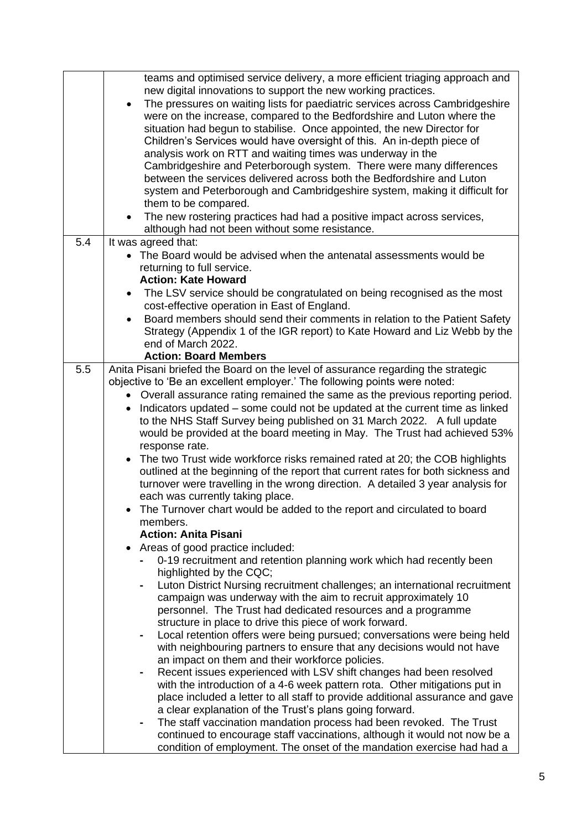|     | teams and optimised service delivery, a more efficient triaging approach and                                                                        |
|-----|-----------------------------------------------------------------------------------------------------------------------------------------------------|
|     | new digital innovations to support the new working practices.                                                                                       |
|     | The pressures on waiting lists for paediatric services across Cambridgeshire<br>$\bullet$                                                           |
|     | were on the increase, compared to the Bedfordshire and Luton where the<br>situation had begun to stabilise. Once appointed, the new Director for    |
|     | Children's Services would have oversight of this. An in-depth piece of                                                                              |
|     | analysis work on RTT and waiting times was underway in the                                                                                          |
|     | Cambridgeshire and Peterborough system. There were many differences                                                                                 |
|     | between the services delivered across both the Bedfordshire and Luton                                                                               |
|     | system and Peterborough and Cambridgeshire system, making it difficult for                                                                          |
|     | them to be compared.                                                                                                                                |
|     | The new rostering practices had had a positive impact across services,<br>$\bullet$                                                                 |
|     | although had not been without some resistance.                                                                                                      |
| 5.4 | It was agreed that:                                                                                                                                 |
|     | • The Board would be advised when the antenatal assessments would be                                                                                |
|     | returning to full service.                                                                                                                          |
|     | <b>Action: Kate Howard</b>                                                                                                                          |
|     | The LSV service should be congratulated on being recognised as the most<br>cost-effective operation in East of England.                             |
|     | Board members should send their comments in relation to the Patient Safety<br>$\bullet$                                                             |
|     | Strategy (Appendix 1 of the IGR report) to Kate Howard and Liz Webb by the                                                                          |
|     | end of March 2022.                                                                                                                                  |
|     | <b>Action: Board Members</b>                                                                                                                        |
| 5.5 | Anita Pisani briefed the Board on the level of assurance regarding the strategic                                                                    |
|     | objective to 'Be an excellent employer.' The following points were noted:                                                                           |
|     | • Overall assurance rating remained the same as the previous reporting period.                                                                      |
|     | Indicators updated – some could not be updated at the current time as linked<br>$\bullet$                                                           |
|     | to the NHS Staff Survey being published on 31 March 2022. A full update                                                                             |
|     | would be provided at the board meeting in May. The Trust had achieved 53%                                                                           |
|     | response rate.<br>The two Trust wide workforce risks remained rated at 20; the COB highlights<br>$\bullet$                                          |
|     | outlined at the beginning of the report that current rates for both sickness and                                                                    |
|     | turnover were travelling in the wrong direction. A detailed 3 year analysis for                                                                     |
|     | each was currently taking place.                                                                                                                    |
|     | The Turnover chart would be added to the report and circulated to board                                                                             |
|     | members.                                                                                                                                            |
|     | <b>Action: Anita Pisani</b>                                                                                                                         |
|     | Areas of good practice included:<br>$\bullet$                                                                                                       |
|     | 0-19 recruitment and retention planning work which had recently been                                                                                |
|     | highlighted by the CQC;                                                                                                                             |
|     | Luton District Nursing recruitment challenges; an international recruitment                                                                         |
|     | campaign was underway with the aim to recruit approximately 10<br>personnel. The Trust had dedicated resources and a programme                      |
|     | structure in place to drive this piece of work forward.                                                                                             |
|     | Local retention offers were being pursued; conversations were being held                                                                            |
|     | with neighbouring partners to ensure that any decisions would not have                                                                              |
|     | an impact on them and their workforce policies.                                                                                                     |
|     | Recent issues experienced with LSV shift changes had been resolved                                                                                  |
|     | with the introduction of a 4-6 week pattern rota. Other mitigations put in                                                                          |
|     | place included a letter to all staff to provide additional assurance and gave                                                                       |
|     | a clear explanation of the Trust's plans going forward.                                                                                             |
|     | The staff vaccination mandation process had been revoked. The Trust<br>٠                                                                            |
|     | continued to encourage staff vaccinations, although it would not now be a<br>condition of employment. The onset of the mandation exercise had had a |
|     |                                                                                                                                                     |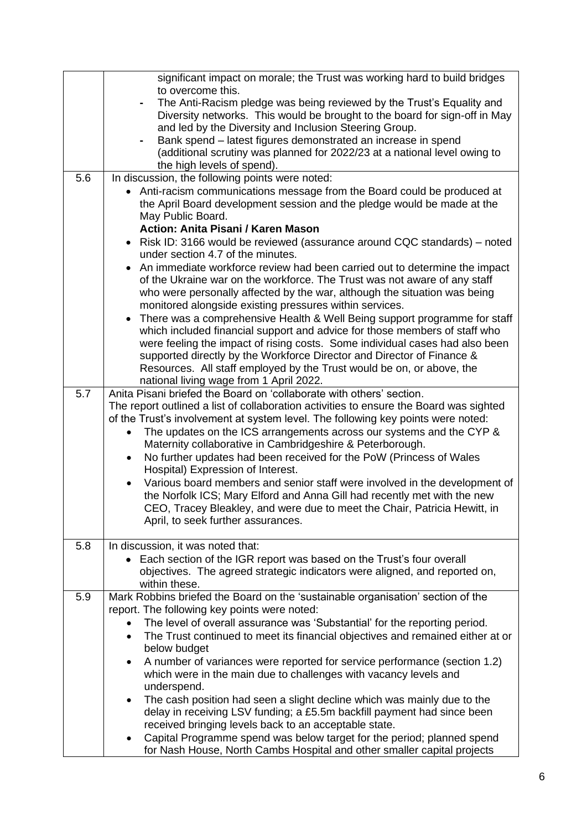|                  | significant impact on morale; the Trust was working hard to build bridges              |
|------------------|----------------------------------------------------------------------------------------|
|                  | to overcome this.                                                                      |
|                  | The Anti-Racism pledge was being reviewed by the Trust's Equality and                  |
|                  | Diversity networks. This would be brought to the board for sign-off in May             |
|                  | and led by the Diversity and Inclusion Steering Group.                                 |
|                  | Bank spend – latest figures demonstrated an increase in spend                          |
|                  | (additional scrutiny was planned for 2022/23 at a national level owing to              |
|                  | the high levels of spend).                                                             |
| 5.6              | In discussion, the following points were noted:                                        |
|                  | • Anti-racism communications message from the Board could be produced at               |
|                  | the April Board development session and the pledge would be made at the                |
|                  | May Public Board.                                                                      |
|                  | Action: Anita Pisani / Karen Mason                                                     |
|                  | Risk ID: 3166 would be reviewed (assurance around CQC standards) – noted<br>$\bullet$  |
|                  | under section 4.7 of the minutes.                                                      |
|                  | An immediate workforce review had been carried out to determine the impact             |
|                  | of the Ukraine war on the workforce. The Trust was not aware of any staff              |
|                  | who were personally affected by the war, although the situation was being              |
|                  | monitored alongside existing pressures within services.                                |
|                  | There was a comprehensive Health & Well Being support programme for staff<br>٠         |
|                  | which included financial support and advice for those members of staff who             |
|                  | were feeling the impact of rising costs. Some individual cases had also been           |
|                  | supported directly by the Workforce Director and Director of Finance &                 |
|                  | Resources. All staff employed by the Trust would be on, or above, the                  |
|                  | national living wage from 1 April 2022.                                                |
| $\overline{5.7}$ | Anita Pisani briefed the Board on 'collaborate with others' section.                   |
|                  | The report outlined a list of collaboration activities to ensure the Board was sighted |
|                  | of the Trust's involvement at system level. The following key points were noted:       |
|                  | The updates on the ICS arrangements across our systems and the CYP &                   |
|                  | Maternity collaborative in Cambridgeshire & Peterborough.                              |
|                  | No further updates had been received for the PoW (Princess of Wales<br>$\bullet$       |
|                  | Hospital) Expression of Interest.                                                      |
|                  | Various board members and senior staff were involved in the development of             |
|                  | the Norfolk ICS; Mary Elford and Anna Gill had recently met with the new               |
|                  | CEO, Tracey Bleakley, and were due to meet the Chair, Patricia Hewitt, in              |
|                  | April, to seek further assurances.                                                     |
|                  |                                                                                        |
| 5.8              | In discussion, it was noted that:                                                      |
|                  | Each section of the IGR report was based on the Trust's four overall                   |
|                  | objectives. The agreed strategic indicators were aligned, and reported on,             |
|                  | within these.                                                                          |
| 5.9              | Mark Robbins briefed the Board on the 'sustainable organisation' section of the        |
|                  | report. The following key points were noted:                                           |
|                  | The level of overall assurance was 'Substantial' for the reporting period.             |
|                  | The Trust continued to meet its financial objectives and remained either at or         |
|                  | below budget                                                                           |
|                  | A number of variances were reported for service performance (section 1.2)              |
|                  |                                                                                        |
|                  | which were in the main due to challenges with vacancy levels and<br>underspend.        |
|                  |                                                                                        |
|                  | The cash position had seen a slight decline which was mainly due to the                |
|                  | delay in receiving LSV funding; a £5.5m backfill payment had since been                |
|                  | received bringing levels back to an acceptable state.                                  |
|                  | Capital Programme spend was below target for the period; planned spend                 |
|                  | for Nash House, North Cambs Hospital and other smaller capital projects                |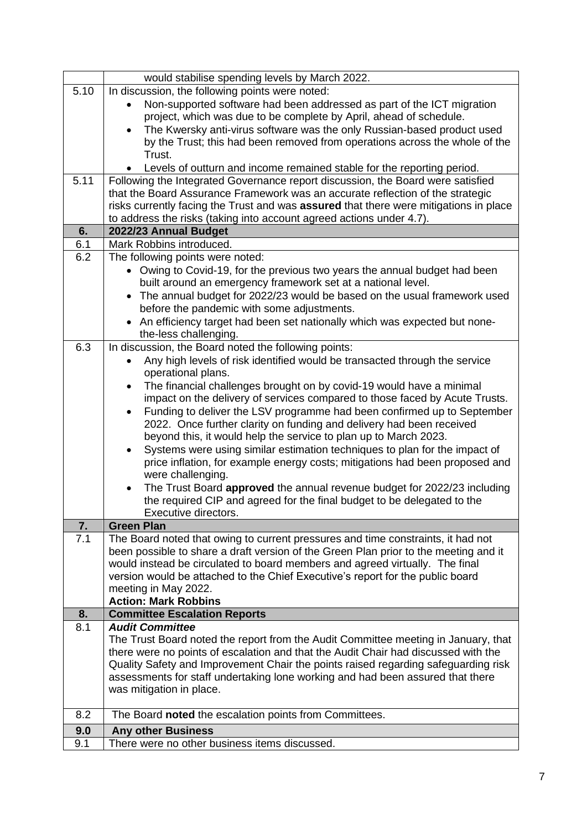|           | would stabilise spending levels by March 2022.                                                   |
|-----------|--------------------------------------------------------------------------------------------------|
| 5.10      | In discussion, the following points were noted:                                                  |
|           | Non-supported software had been addressed as part of the ICT migration                           |
|           | project, which was due to be complete by April, ahead of schedule.                               |
|           | The Kwersky anti-virus software was the only Russian-based product used                          |
|           | by the Trust; this had been removed from operations across the whole of the                      |
|           | Trust.                                                                                           |
|           | Levels of outturn and income remained stable for the reporting period.                           |
| 5.11      | Following the Integrated Governance report discussion, the Board were satisfied                  |
|           | that the Board Assurance Framework was an accurate reflection of the strategic                   |
|           | risks currently facing the Trust and was assured that there were mitigations in place            |
|           | to address the risks (taking into account agreed actions under 4.7).                             |
| 6.        | 2022/23 Annual Budget                                                                            |
| 6.1       | Mark Robbins introduced.                                                                         |
| 6.2       | The following points were noted:                                                                 |
|           | • Owing to Covid-19, for the previous two years the annual budget had been                       |
|           | built around an emergency framework set at a national level.                                     |
|           | The annual budget for 2022/23 would be based on the usual framework used<br>$\bullet$            |
|           | before the pandemic with some adjustments.                                                       |
|           | An efficiency target had been set nationally which was expected but none-<br>$\bullet$           |
|           | the-less challenging.                                                                            |
| 6.3       | In discussion, the Board noted the following points:                                             |
|           | Any high levels of risk identified would be transacted through the service<br>operational plans. |
|           | The financial challenges brought on by covid-19 would have a minimal<br>$\bullet$                |
|           | impact on the delivery of services compared to those faced by Acute Trusts.                      |
|           | Funding to deliver the LSV programme had been confirmed up to September<br>$\bullet$             |
|           | 2022. Once further clarity on funding and delivery had been received                             |
|           | beyond this, it would help the service to plan up to March 2023.                                 |
|           | Systems were using similar estimation techniques to plan for the impact of                       |
|           | price inflation, for example energy costs; mitigations had been proposed and                     |
|           | were challenging.                                                                                |
|           | The Trust Board approved the annual revenue budget for 2022/23 including                         |
|           | the required CIP and agreed for the final budget to be delegated to the                          |
|           | Executive directors.                                                                             |
| 7.        | <b>Green Plan</b>                                                                                |
| 7.1       | The Board noted that owing to current pressures and time constraints, it had not                 |
|           | been possible to share a draft version of the Green Plan prior to the meeting and it             |
|           | would instead be circulated to board members and agreed virtually. The final                     |
|           | version would be attached to the Chief Executive's report for the public board                   |
|           | meeting in May 2022.                                                                             |
|           | <b>Action: Mark Robbins</b>                                                                      |
| 8.<br>8.1 | <b>Committee Escalation Reports</b><br><b>Audit Committee</b>                                    |
|           | The Trust Board noted the report from the Audit Committee meeting in January, that               |
|           | there were no points of escalation and that the Audit Chair had discussed with the               |
|           | Quality Safety and Improvement Chair the points raised regarding safeguarding risk               |
|           | assessments for staff undertaking lone working and had been assured that there                   |
|           | was mitigation in place.                                                                         |
|           |                                                                                                  |
| 8.2       | The Board noted the escalation points from Committees.                                           |
| 9.0       | <b>Any other Business</b>                                                                        |
| 9.1       | There were no other business items discussed.                                                    |